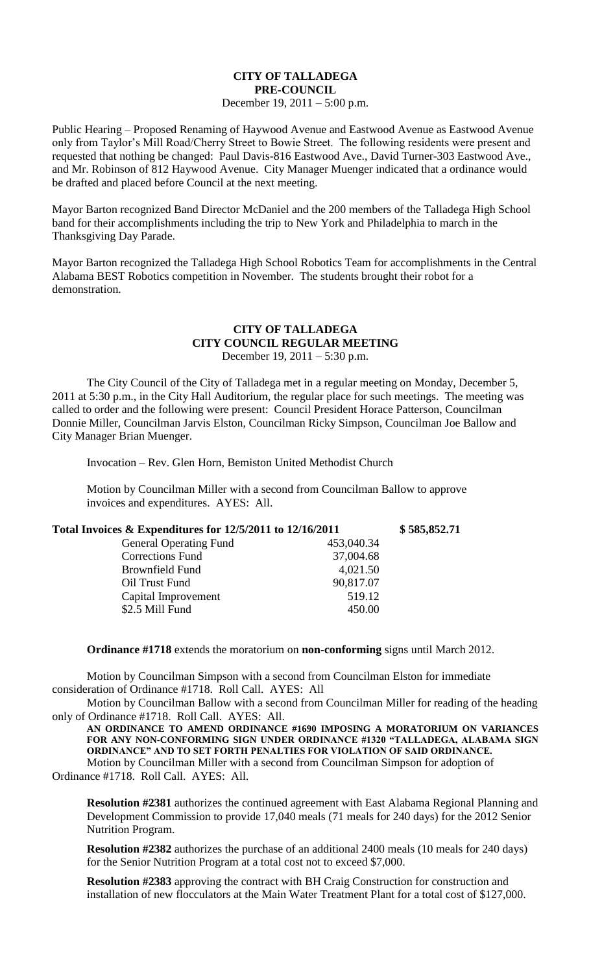## **CITY OF TALLADEGA PRE-COUNCIL** December 19, 2011 – 5:00 p.m.

Public Hearing – Proposed Renaming of Haywood Avenue and Eastwood Avenue as Eastwood Avenue only from Taylor's Mill Road/Cherry Street to Bowie Street. The following residents were present and requested that nothing be changed: Paul Davis-816 Eastwood Ave., David Turner-303 Eastwood Ave., and Mr. Robinson of 812 Haywood Avenue. City Manager Muenger indicated that a ordinance would be drafted and placed before Council at the next meeting.

Mayor Barton recognized Band Director McDaniel and the 200 members of the Talladega High School band for their accomplishments including the trip to New York and Philadelphia to march in the Thanksgiving Day Parade.

Mayor Barton recognized the Talladega High School Robotics Team for accomplishments in the Central Alabama BEST Robotics competition in November. The students brought their robot for a demonstration.

## **CITY OF TALLADEGA CITY COUNCIL REGULAR MEETING** December 19, 2011 – 5:30 p.m.

The City Council of the City of Talladega met in a regular meeting on Monday, December 5, 2011 at 5:30 p.m., in the City Hall Auditorium, the regular place for such meetings. The meeting was called to order and the following were present: Council President Horace Patterson, Councilman Donnie Miller, Councilman Jarvis Elston, Councilman Ricky Simpson, Councilman Joe Ballow and City Manager Brian Muenger.

Invocation – Rev. Glen Horn, Bemiston United Methodist Church

Motion by Councilman Miller with a second from Councilman Ballow to approve invoices and expenditures. AYES: All.

| Total Invoices $\&$ Expenditures for 12/5/2011 to 12/16/2011 |            | \$585,852.71 |
|--------------------------------------------------------------|------------|--------------|
| <b>General Operating Fund</b>                                | 453,040.34 |              |
| Corrections Fund                                             | 37,004.68  |              |
| <b>Brownfield Fund</b>                                       | 4,021.50   |              |
| Oil Trust Fund                                               | 90,817.07  |              |
| Capital Improvement                                          | 519.12     |              |
| \$2.5 Mill Fund                                              | 450.00     |              |
|                                                              |            |              |

**Ordinance #1718** extends the moratorium on **non-conforming** signs until March 2012.

Motion by Councilman Simpson with a second from Councilman Elston for immediate consideration of Ordinance #1718. Roll Call. AYES: All

Motion by Councilman Ballow with a second from Councilman Miller for reading of the heading only of Ordinance #1718. Roll Call. AYES: All.

**AN ORDINANCE TO AMEND ORDINANCE #1690 IMPOSING A MORATORIUM ON VARIANCES FOR ANY NON-CONFORMING SIGN UNDER ORDINANCE #1320 "TALLADEGA, ALABAMA SIGN ORDINANCE" AND TO SET FORTH PENALTIES FOR VIOLATION OF SAID ORDINANCE.** Motion by Councilman Miller with a second from Councilman Simpson for adoption of Ordinance #1718. Roll Call. AYES: All.

**Resolution #2381** authorizes the continued agreement with East Alabama Regional Planning and Development Commission to provide 17,040 meals (71 meals for 240 days) for the 2012 Senior Nutrition Program.

**Resolution #2382** authorizes the purchase of an additional 2400 meals (10 meals for 240 days) for the Senior Nutrition Program at a total cost not to exceed \$7,000.

**Resolution #2383** approving the contract with BH Craig Construction for construction and installation of new flocculators at the Main Water Treatment Plant for a total cost of \$127,000.